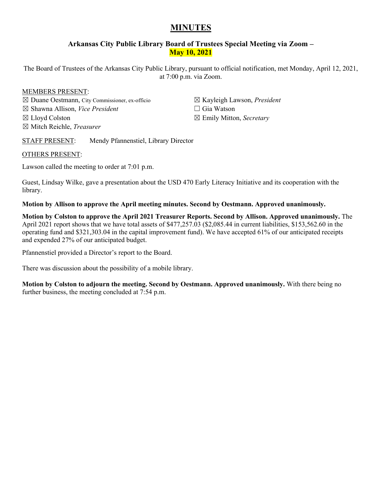# **MINUTES**

# **Arkansas City Public Library Board of Trustees Special Meeting via Zoom – May 10, 2021**

The Board of Trustees of the Arkansas City Public Library, pursuant to official notification, met Monday, April 12, 2021, at 7:00 p.m. via Zoom.

# MEMBERS PRESENT:

☒ Duane Oestmann, City Commissioner, ex-officio ☒ Shawna Allison, *Vice President* ☒ Lloyd Colston ☒ Mitch Reichle, *Treasurer*

☒ Kayleigh Lawson, *President* ☐ Gia Watson

☒ Emily Mitton, *Secretary*

STAFF PRESENT: Mendy Pfannenstiel, Library Director

# OTHERS PRESENT:

Lawson called the meeting to order at 7:01 p.m.

Guest, Lindsay Wilke, gave a presentation about the USD 470 Early Literacy Initiative and its cooperation with the library.

**Motion by Allison to approve the April meeting minutes. Second by Oestmann. Approved unanimously.** 

**Motion by Colston to approve the April 2021 Treasurer Reports. Second by Allison. Approved unanimously.** The April 2021 report shows that we have total assets of \$477,257.03 (\$2,085.44 in current liabilities, \$153,562.60 in the operating fund and \$321,303.04 in the capital improvement fund). We have accepted 61% of our anticipated receipts and expended 27% of our anticipated budget.

Pfannenstiel provided a Director's report to the Board.

There was discussion about the possibility of a mobile library.

**Motion by Colston to adjourn the meeting. Second by Oestmann. Approved unanimously.** With there being no further business, the meeting concluded at 7:54 p.m.